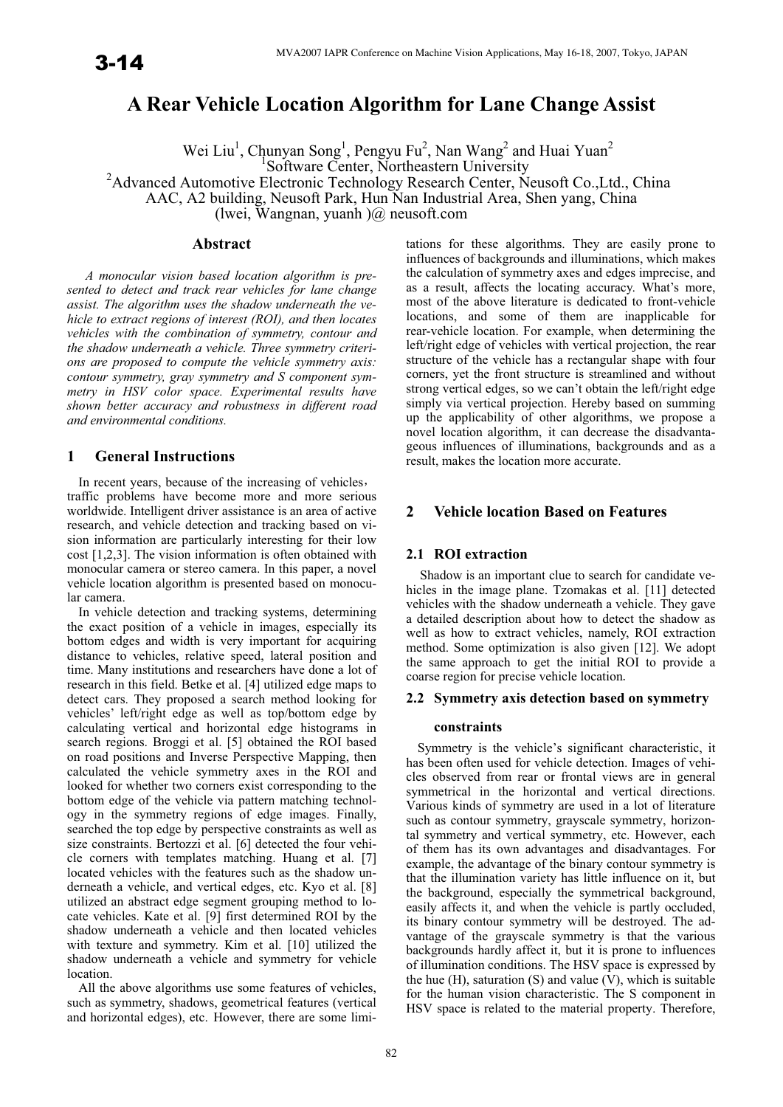# **A Rear Vehicle Location Algorithm for Lane Change Assist**

Wei Liu<sup>1</sup>, Chunyan Song<sup>1</sup>, Pengyu Fu<sup>2</sup>, Nan Wang<sup>2</sup> and Huai Yuan<sup>2</sup>

1 Software Center, Northeastern University

<sup>2</sup>Advanced Automotive Electronic Technology Research Center, Neusoft Co., Ltd., China

AAC, A2 building, Neusoft Park, Hun Nan Industrial Area, Shen yang, China

(lwei, Wangnan, yuanh ) $\omega$  neusoft.com

### **Abstract**

 *A monocular vision based location algorithm is presented to detect and track rear vehicles for lane change assist. The algorithm uses the shadow underneath the vehicle to extract regions of interest (ROI), and then locates vehicles with the combination of symmetry, contour and the shadow underneath a vehicle. Three symmetry criterions are proposed to compute the vehicle symmetry axis: contour symmetry, gray symmetry and S component symmetry in HSV color space. Experimental results have shown better accuracy and robustness in different road and environmental conditions.* 

# **1 General Instructions**

In recent years, because of the increasing of vehicles, traffic problems have become more and more serious worldwide. Intelligent driver assistance is an area of active research, and vehicle detection and tracking based on vision information are particularly interesting for their low cost [1,2,3]. The vision information is often obtained with monocular camera or stereo camera. In this paper, a novel vehicle location algorithm is presented based on monocular camera.

In vehicle detection and tracking systems, determining the exact position of a vehicle in images, especially its bottom edges and width is very important for acquiring distance to vehicles, relative speed, lateral position and time. Many institutions and researchers have done a lot of research in this field. Betke et al. [4] utilized edge maps to detect cars. They proposed a search method looking for vehicles' left/right edge as well as top/bottom edge by calculating vertical and horizontal edge histograms in search regions. Broggi et al. [5] obtained the ROI based on road positions and Inverse Perspective Mapping, then calculated the vehicle symmetry axes in the ROI and looked for whether two corners exist corresponding to the bottom edge of the vehicle via pattern matching technology in the symmetry regions of edge images. Finally, searched the top edge by perspective constraints as well as size constraints. Bertozzi et al. [6] detected the four vehicle corners with templates matching. Huang et al. [7] located vehicles with the features such as the shadow underneath a vehicle, and vertical edges, etc. Kyo et al. [8] utilized an abstract edge segment grouping method to locate vehicles. Kate et al. [9] first determined ROI by the shadow underneath a vehicle and then located vehicles with texture and symmetry. Kim et al. [10] utilized the shadow underneath a vehicle and symmetry for vehicle location.

All the above algorithms use some features of vehicles, such as symmetry, shadows, geometrical features (vertical and horizontal edges), etc. However, there are some limi-

tations for these algorithms. They are easily prone to influences of backgrounds and illuminations, which makes the calculation of symmetry axes and edges imprecise, and as a result, affects the locating accuracy. What's more, most of the above literature is dedicated to front-vehicle locations, and some of them are inapplicable for rear-vehicle location. For example, when determining the left/right edge of vehicles with vertical projection, the rear structure of the vehicle has a rectangular shape with four corners, yet the front structure is streamlined and without strong vertical edges, so we can't obtain the left/right edge simply via vertical projection. Hereby based on summing up the applicability of other algorithms, we propose a novel location algorithm, it can decrease the disadvantageous influences of illuminations, backgrounds and as a result, makes the location more accurate.

# **2 Vehicle location Based on Features**

# **2.1 ROI extraction**

Shadow is an important clue to search for candidate vehicles in the image plane. Tzomakas et al. [11] detected vehicles with the shadow underneath a vehicle. They gave a detailed description about how to detect the shadow as well as how to extract vehicles, namely, ROI extraction method. Some optimization is also given [12]. We adopt the same approach to get the initial ROI to provide a coarse region for precise vehicle location

### **2.2 Symmetry axis detection based on symmetry**

### **constraints**

Symmetry is the vehicle's significant characteristic, it has been often used for vehicle detection. Images of vehicles observed from rear or frontal views are in general symmetrical in the horizontal and vertical directions. Various kinds of symmetry are used in a lot of literature such as contour symmetry, grayscale symmetry, horizontal symmetry and vertical symmetry, etc. However, each of them has its own advantages and disadvantages. For example, the advantage of the binary contour symmetry is that the illumination variety has little influence on it, but the background, especially the symmetrical background, easily affects it, and when the vehicle is partly occluded, its binary contour symmetry will be destroyed. The advantage of the grayscale symmetry is that the various backgrounds hardly affect it, but it is prone to influences of illumination conditions. The HSV space is expressed by the hue  $(H)$ , saturation  $(S)$  and value  $(V)$ , which is suitable for the human vision characteristic. The S component in HSV space is related to the material property. Therefore,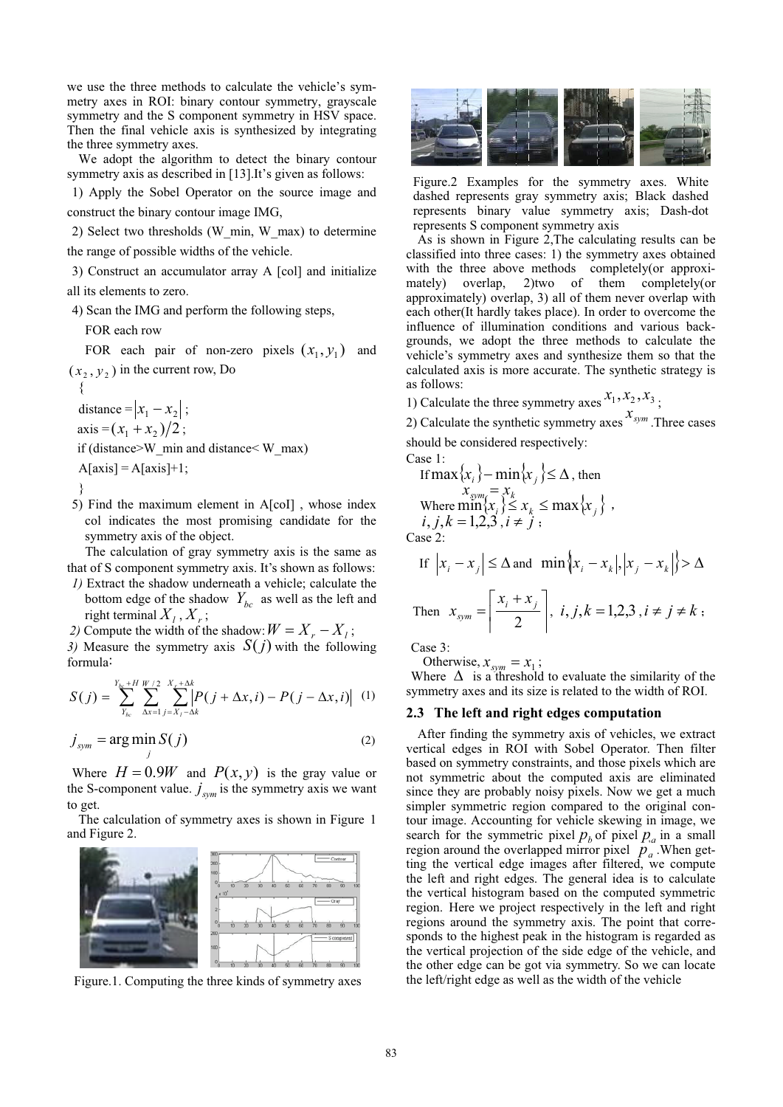we use the three methods to calculate the vehicle's symmetry axes in ROI: binary contour symmetry, grayscale symmetry and the S component symmetry in HSV space. Then the final vehicle axis is synthesized by integrating the three symmetry axes.

We adopt the algorithm to detect the binary contour symmetry axis as described in [13].It's given as follows:

1) Apply the Sobel Operator on the source image and construct the binary contour image IMG,

2) Select two thresholds (W\_min, W\_max) to determine the range of possible widths of the vehicle.

3) Construct an accumulator array A [col] and initialize

all its elements to zero.

4) Scan the IMG and perform the following steps,

FOR each row

FOR each pair of non-zero pixels  $(x_1, y_1)$  and  $(x_2, y_2)$  in the current row, Do

{ distance =  $|x_1 - x_2|$ ; axis =  $(x_1 + x_2)/2$ ; if (distance>W\_min and distance< W\_max)  $A[axis] = A[axis]+1;$ }

5) Find the maximum element in A[coI] , whose index col indicates the most promising candidate for the symmetry axis of the object.

The calculation of gray symmetry axis is the same as that of S component symmetry axis. It's shown as follows:

*1)* Extract the shadow underneath a vehicle; calculate the bottom edge of the shadow  $Y_{bc}$  as well as the left and right terminal  $X_i$ ,  $X_i$ ;

2) Compute the width of the shadow:  $W = X_r - X_l$ ;

3) Measure the symmetry axis  $S(j)$  with the following formula:

$$
S(j) = \sum_{Y_{bc}}^{Y_{bc} + H} \sum_{\Delta x = 1}^{H} \sum_{j=X_j - \Delta k}^{Y/2} \left| P(j + \Delta x, i) - P(j - \Delta x, i) \right| \tag{1}
$$

$$
j_{sym} = \arg\min_{j} S(j)
$$
 (2)

Where  $H = 0.9W$  and  $P(x, y)$  is the gray value or the S-component value.  $j_{sym}$  is the symmetry axis we want to get.

The calculation of symmetry axes is shown in Figure 1 and Figure 2.



Figure.1. Computing the three kinds of symmetry axes



Figure.2 Examples for the symmetry axes. White dashed represents gray symmetry axis; Black dashed represents binary value symmetry axis; Dash-dot represents S component symmetry axis

As is shown in Figure 2,The calculating results can be classified into three cases: 1) the symmetry axes obtained with the three above methods completely (or approximately) overlap, 2)two of them completely(or approximately) overlap, 3) all of them never overlap with each other(It hardly takes place). In order to overcome the influence of illumination conditions and various backgrounds, we adopt the three methods to calculate the vehicle's symmetry axes and synthesize them so that the calculated axis is more accurate. The synthetic strategy is as follows:

1) Calculate the three symmetry axes  $x_1, x_2, x_3$ ;

2) Calculate the synthetic symmetry axes  $x_{sym}$ . Three cases should be considered respectively:

Case 1:

If 
$$
\max\{x_i\} - \min\{x_j\} \le \Delta
$$
, then  
\n
$$
x_{sym} = x_k
$$
\nWhere  $\min\{x_i\} \le x_k \le \max\{x_j\}$ ,  
\n $i, j, k = 1, 2, 3, i \ne j$ ,

Case 2:

$$
\text{If } \left| x_i - x_j \right| \le \Delta \text{ and } \min \left\{ x_i - x_k \right|, \left| x_j - x_k \right| \ge \Delta
$$

Then 
$$
x_{sym} = \left[\frac{x_i + x_j}{2}\right], i, j, k = 1, 2, 3, i \neq j \neq k;
$$

Case 3:

Otherwise,  $x_{sym} = x_1$ ;

Where  $\Delta$  is a threshold to evaluate the similarity of the symmetry axes and its size is related to the width of ROI.

### **2.3 The left and right edges computation**

After finding the symmetry axis of vehicles, we extract vertical edges in ROI with Sobel Operator. Then filter based on symmetry constraints, and those pixels which are not symmetric about the computed axis are eliminated since they are probably noisy pixels. Now we get a much simpler symmetric region compared to the original contour image. Accounting for vehicle skewing in image, we search for the symmetric pixel  $p_b$  of pixel  $p_a$  in a small region around the overlapped mirror pixel  $p_a$ . When getting the vertical edge images after filtered, we compute the left and right edges. The general idea is to calculate the vertical histogram based on the computed symmetric region. Here we project respectively in the left and right regions around the symmetry axis. The point that corresponds to the highest peak in the histogram is regarded as the vertical projection of the side edge of the vehicle, and the other edge can be got via symmetry. So we can locate the left/right edge as well as the width of the vehicle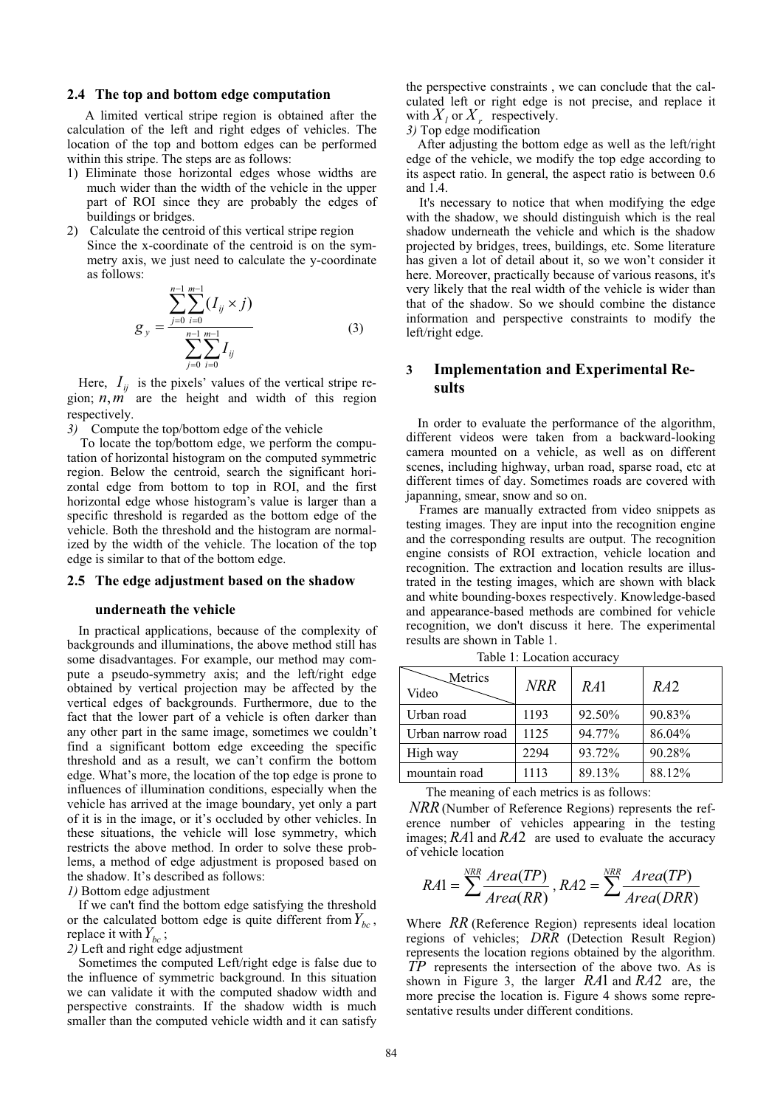#### **2.4 The top and bottom edge computation**

 A limited vertical stripe region is obtained after the calculation of the left and right edges of vehicles. The location of the top and bottom edges can be performed within this stripe. The steps are as follows:

- 1) Eliminate those horizontal edges whose widths are much wider than the width of the vehicle in the upper part of ROI since they are probably the edges of buildings or bridges.
- 2) Calculate the centroid of this vertical stripe region Since the x-coordinate of the centroid is on the symmetry axis, we just need to calculate the y-coordinate as follows:

$$
g_{y} = \frac{\sum_{j=0}^{n-1} \sum_{i=0}^{m-1} (I_{ij} \times j)}{\sum_{j=0}^{n-1} \sum_{i=0}^{m-1} I_{ij}}
$$
(3)

Here,  $I_{ij}$  is the pixels' values of the vertical stripe region;  $n, m$ <sup> $\alpha$ </sup> are the height and width of this region respectively.

*3)* Compute the top/bottom edge of the vehicle

To locate the top/bottom edge, we perform the computation of horizontal histogram on the computed symmetric region. Below the centroid, search the significant horizontal edge from bottom to top in ROI, and the first horizontal edge whose histogram's value is larger than a specific threshold is regarded as the bottom edge of the vehicle. Both the threshold and the histogram are normalized by the width of the vehicle. The location of the top edge is similar to that of the bottom edge.

### **2.5 The edge adjustment based on the shadow**

### **underneath the vehicle**

In practical applications, because of the complexity of backgrounds and illuminations, the above method still has some disadvantages. For example, our method may compute a pseudo-symmetry axis; and the left/right edge obtained by vertical projection may be affected by the vertical edges of backgrounds. Furthermore, due to the fact that the lower part of a vehicle is often darker than any other part in the same image, sometimes we couldn't find a significant bottom edge exceeding the specific threshold and as a result, we can't confirm the bottom edge. What's more, the location of the top edge is prone to influences of illumination conditions, especially when the vehicle has arrived at the image boundary, yet only a part of it is in the image, or it's occluded by other vehicles. In these situations, the vehicle will lose symmetry, which restricts the above method. In order to solve these problems, a method of edge adjustment is proposed based on the shadow. It's described as follows:

*1)* Bottom edge adjustment

If we can't find the bottom edge satisfying the threshold or the calculated bottom edge is quite different from  $Y_{bc}$ , replace it with  $Y_{bc}$ ;

*2)* Left and right edge adjustment

Sometimes the computed Left/right edge is false due to the influence of symmetric background. In this situation we can validate it with the computed shadow width and perspective constraints. If the shadow width is much smaller than the computed vehicle width and it can satisfy

the perspective constraints , we can conclude that the calculated left or right edge is not precise, and replace it with  $X_i$  or  $X_i$  respectively.

*3)* Top edge modification

After adjusting the bottom edge as well as the left/right edge of the vehicle, we modify the top edge according to its aspect ratio. In general, the aspect ratio is between 0.6 and 1.4.

It's necessary to notice that when modifying the edge with the shadow, we should distinguish which is the real shadow underneath the vehicle and which is the shadow projected by bridges, trees, buildings, etc. Some literature has given a lot of detail about it, so we won't consider it here. Moreover, practically because of various reasons, it's very likely that the real width of the vehicle is wider than that of the shadow. So we should combine the distance information and perspective constraints to modify the left/right edge.

# **3 Implementation and Experimental Results**

In order to evaluate the performance of the algorithm, different videos were taken from a backward-looking camera mounted on a vehicle, as well as on different scenes, including highway, urban road, sparse road, etc at different times of day. Sometimes roads are covered with japanning, smear, snow and so on.

Frames are manually extracted from video snippets as testing images. They are input into the recognition engine and the corresponding results are output. The recognition engine consists of ROI extraction, vehicle location and recognition. The extraction and location results are illustrated in the testing images, which are shown with black and white bounding-boxes respectively. Knowledge-based and appearance-based methods are combined for vehicle recognition, we don't discuss it here. The experimental results are shown in Table 1.

| Metrics<br>Video  | <b>NRR</b> | RA1    | RA2    |
|-------------------|------------|--------|--------|
| Urban road        | 1193       | 92.50% | 90.83% |
| Urban narrow road | 1125       | 94.77% | 86.04% |
| High way          | 2294       | 93.72% | 90.28% |
| mountain road     | 1113       | 89.13% | 88.12% |

Table 1: Location accuracy

The meaning of each metrics is as follows:

*NRR*(Number of Reference Regions) represents the reference number of vehicles appearing in the testing images; *RA*1 and *RA*2 are used to evaluate the accuracy of vehicle location

$$
RA1 = \sum_{Area(RR)}^{NRR} \frac{Area(TP)}{Area(RR)}, RA2 = \sum_{Area(DRR)}^{NRR} \frac{Area(TP)}{Area(DRR)}
$$

Where *RR* (Reference Region) represents ideal location regions of vehicles; DRR (Detection Result Region) represents the location regions obtained by the algorithm. *TP* represents the intersection of the above two. As is shown in Figure 3, the larger *RA*1 and *RA*2 are, the more precise the location is. Figure 4 shows some representative results under different conditions.